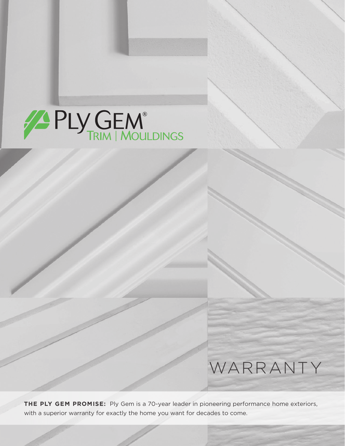# **PLY GEM**

# WARRANTY

**THE PLY GEM PROMISE:** Ply Gem is a 70-year leader in pioneering performance home exteriors, with a superior warranty for exactly the home you want for decades to come.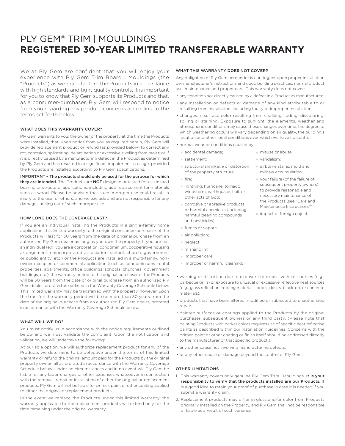## PLY GEM® TRIM | MOULDINGS **REGISTERED 30-YEAR LIMITED TRANSFERABLE WARRANTY**

We at Ply Gem are confident that you will enjoy your experience with Ply Gem Trim Board | Mouldings (the "Products") as we manufacture the Products in accordance with high standards and tight quality controls. It is important for you to know that Ply Gem supports its Products and that, as a consumer-purchaser, Ply Gem will respond to notice from you regarding any product concerns according to the terms set forth below.

#### WHAT DOES THIS WARRANTY COVER?

Ply Gem warrants to you, the owner of the property at the time the Products were installed, that, upon notice from you as required herein, Ply Gem will provide replacement product or refund (as provided below) to correct any rot, corrosion, splintering, delamination or excessive swelling from moisture if it is directly caused by a manufacturing defect in the Product as determined by Ply Gem and has resulted in a significant impairment in usage, provided the Products are installed according to Ply Gem specifications.

IMPORTANT – The products should only be used for the purpose for which they are intended. The Products are NOT designed or tested for use in load bearing or structural applications, including as a replacement for materials such as wood. Please be advised that such improper use could result in injury to the user or others, and we exclude and are not responsible for any damages arising out of such improper use.

#### HOW LONG DOES THE COVERAGE LAST?

If you are an individual installing the Products in a single-family home application, this limited warranty to the original consumer-purchaser of the Products will last for 30 years from the date of original purchase from an authorized Ply Gem dealer as long as you own the property. If you are not an individual (e.g. you are a corporation, condominium, cooperative housing arrangement, unincorporated association, school, church, government or public entity, etc.) or the Products are installed in a multi-family, nonowner occupied or commercial application (such as condominiums, rental properties, apartments, office buildings, schools, churches, government buildings, etc.), the warranty period to the original purchaser of the Products will be 30 years from the date of original purchase from an authorized Ply Gem dealer, prorated as outlined in the Warranty Coverage Schedule below. This limited warranty may be transferred with the property, however, upon the transfer, the warranty period will be no more than 30 years from the date of the original purchase from an authorized Ply Gem dealer, prorated in accordance with the Warranty Coverage Schedule below.

#### WHAT WILL WE DO?

You must notify us in accordance with the notice requirements outlined below and we must validate the complaint. Upon the notification and validation, we will undertake the following:

At our sole option, we will authorize replacement product for any of the Products we determine to be defective under the terms of this limited warranty or refund the original amount paid for the Products by the original property owner, all as prorated in accordance with the Warranty Coverage Schedule below. Under no circumstances and in no event will Ply Gem be liable for any labor charges or other expenses whatsoever in connection with the removal, repair or installation of either the original or replacement products. Ply Gem will not be liable for primer, paint or other coating applied to either the original or replacement products.

In the event we replace the Products under this limited warranty, the warranty applicable to the replacement products will extend only for the time remaining under the original warranty.

#### WHAT THIS WARRANTY DOES NOT COVER?

Any obligation of Ply Gem hereunder is contingent upon proper installation per manufacturer's instructions and good building practices, normal product use, maintenance and proper care. This warranty does not cover:

- any condition not directly caused by a defect in a Product as manufactured.
- any installation or defects or damage of any kind attributable to or resulting from installation, including faulty or improper installation;
- changes in surface color resulting from chalking, fading, discoloring, soiling or staining. Exposure to sunlight, the elements, weather and atmospheric conditions may cause these changes over time; the degree to which weathering occurs will vary depending on air quality, the building's location and other local conditions over which we have no control;
- normal wear or conditions caused by:
	- accidental damage;
	- settlement;
- structural shrinkage or distortion of the property structure;
- fire;
- lightning, hurricane, tornado, windstorm, earthquake, hail, or other acts of God;
- corrosive or abrasive products or harmful chemicals (including harmful cleaning compounds and pesticides);
- fumes or vapors;
- air pollution;
- neglect;
- mishandling;
- improper care;
- improper or harmful cleaning;
- warping or distortion due to exposure to excessive heat sources (e.g., barbecue grills) or exposure to unusual or excessive reflective heat sources (e.g., glass reflection, roofing materials, pools, decks, blacktop, or concrete materials);
- products that have been altered, modified or subjected to unauthorized repair;
- painted surfaces or coatings applied to the Products by the original purchaser, subsequent owners or any third party. (Please note that painting Products with darker colors requires use of specific heat reflective paints as described within our installation guidelines. Concerns with the primer, paint or other coating or finish itself should be addressed directly to the manufacturer of that specific product.);
- any other cause not involving manufacturing defects;
- or any other cause or damage beyond the control of Ply Gem.

#### OTHER LIMITATIONS

- 1. This warranty covers only genuine Ply Gem Trim | Mouldings. It is your responsibility to verify that the products installed are our Products. It is a good idea to retain your proof of purchase in case it is needed if you submit a warranty claim.
- 2. Replacement products may differ in gloss and/or color from Products originally installed on the Property, and Ply Gem shall not be responsible or liable as a result of such variance.
- misuse or abuse;
- vandalism;
- airborne stains, mold and mildew accumulation;
- your failure (of the failure of subsequent property owners) to provide reasonable and necessary maintenance of the Products (see "Care and Maintenance Instructions");
- impact of foreign objects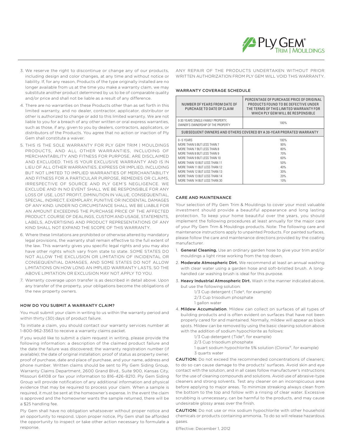

- 3. We reserve the right to discontinue or change any of our products, including design and color changes, at any time and without notice or liability. If, for any reason, Products of the type originally installed are no longer available from us at the time you make a warranty claim, we may substitute another product determined by us to be of comparable quality and/or price and shall not be liable as a result of any difference.
- 4. There are no warranties on these Products other than as set forth in this limited warranty, and no dealer, contractor, applicator, distributor or other is authorized to change or add to this limited warranty. We are not liable to you for a breach of any other written or oral express warranties, such as those, if any, given to you by dealers, contractors, applicators, or distributors of the Products. You agree that no action or inaction of Ply Gem shall constitute a waiver.
- 5. THIS IS THE SOLE WARRANTY FOR PLY GEM TRIM | MOULDINGS PRODUCTS, AND ALL OTHER WARRANTIES, INCLUDING OF MERCHANTABILITY AND FITNESS FOR PURPOSE, ARE DISCLAIMED AND EXCLUDED. THIS IS YOUR EXCLUSIVE WARRANTY AND IS IN LIEU OF ALL OTHER WARRANTIES, EXPRESS OR IMPLIED, INCLUDING BUT NOT LIMITED TO IMPLIED WARRANTIES OF MERCHANTABILITY AND FITNESS FOR A PARTICULAR PURPOSE, REMEDIES OR CLAIMS, IRRESPECTIVE OF SOURCE AND PLY GEM'S NEGLIGENCE. WE EXCLUDE AND IN NO EVENT SHALL WE BE RESPONSIBLE FOR ANY LOSS OF USE, LOST PROFIT, DIMINUTION IN VALUE, CONSEQUENTIAL, SPECIAL, INDIRECT, EXEMPLARY, PUNITIVE OR INCIDENTAL DAMAGES OF ANY KIND. UNDER NO CIRCUMSTANCE SHALL WE BE LIABLE FOR AN AMOUNT EXCEEDING THE PURCHASE PRICE OF THE AFFECTED PRODUCT. COURSE OF DEALINGS, CUSTOM AND USAGE, STATEMENTS, LABELS, ADVERTISING AND PRODUCT REPRESENTATIONS OF ANY KIND SHALL NOT EXPAND THE SCOPE OF THIS WARRANTY.
- 6. Where these limitations are prohibited or otherwise altered by mandatory legal provisions, the warranty shall remain effective to the full extent of the law. This warranty gives you specific legal rights and you may also have other rights which vary from state to state. SOME STATES DO NOT ALLOW THE EXCLUSION OR LIMITATION OF INCIDENTAL OR CONSEQUENTIAL DAMAGES, AND SOME STATES DO NOT ALLOW LIMITATIONS ON HOW LONG AN IMPLIED WARRANTY LASTS, SO THE ABOVE LIMITATION OR EXCLUSION MAY NOT APPLY TO YOU.
- 7. Warranty coverage upon transfer is as described in detail above. Upon any transfer of the property, your obligations become the obligations of the new property owners.

#### HOW DO YOU SUBMIT A WARRANTY CLAIM?

You must submit your claim in writing to us within the warranty period and within thirty (30) days of product failure.

To initiate a claim, you should contact our warranty services number at 1-800-962-3563 to receive a warranty claims packet.

If you would like to submit a claim request in writing, please provide the following information: a description of the claimed product failure and the date the failure was discovered; the warranty registration number (if available); the date of original installation; proof of status as property owner, proof of purchase, date and place of purchase, and your name, address and phone number. Written claims should be sent to Ply Gem Siding Group, Warranty Claims Department, 2600 Grand Blvd., Suite 900, Kansas City, Missouri 64108 or fax your information to 816-426-8210. Ply Gem Siding Group will provide notification of any additional information and physical evidence that may be required to process your claim. When a sample is required, it must be sent at the homeowner's expense. In the event the claim is approved and the homeowner wants the sample returned, there will be a \$25 handling fee.

Ply Gem shall have no obligation whatsoever without proper notice and an opportunity to respond. Upon proper notice, Ply Gem shall be afforded the opportunity to inspect or take other action necessary to formulate a response.

ANY REPAIR OF THE PRODUCTS UNDERTAKEN WITHOUT PRIOR WRITTEN AUTHORIZATION FROM PLY GEM WILL VOID THIS WARRANTY.

#### WARRANTY COVERAGE SCHEDULE

| NUMBER OF YEARS FROM DATE OF<br>PURCHASE TO DATE OF CLAIM               | PERCENTAGE OF PURCHASE PRICE OF ORIGINAL<br>PRODUCTS FOUND TO BE DEFECTIVE UNDER<br>THE TERMS OF THIS LIMITED WARRANTY FOR<br>WHICH PLY GEM WILL BE RESPONSIBLE |  |
|-------------------------------------------------------------------------|-----------------------------------------------------------------------------------------------------------------------------------------------------------------|--|
| 0-30 YEARS SINGLE-FAMILY PROPERTY,<br>OWNER'S OWNERSHIP OF THE PROPERTY | 100%                                                                                                                                                            |  |
| SUBSEQUENT OWNERS AND OTHERS COVERED BY A 30-YEAR PRORATED WARRANTY     |                                                                                                                                                                 |  |
| $0 - 5$ YFARS                                                           | 100%                                                                                                                                                            |  |
| MORE THAN 5 BUT LESS THAN 7                                             | 90%                                                                                                                                                             |  |
| MORE THAN 7 BUT LESS THAN 8                                             | 80%                                                                                                                                                             |  |
| MORE THAN 8 BUT LESS THAN 9                                             | 70%                                                                                                                                                             |  |
| MORE THAN 9 BUT LESS THAN 10                                            | 60%                                                                                                                                                             |  |
| MORE THAN 10 BUT LESS THAN 11                                           | 50%                                                                                                                                                             |  |
| MORE THAN 11 BUT LESS THAN 12                                           | 40%                                                                                                                                                             |  |
| MORE THAN 12 BUT LESS THAN 13                                           | 30%                                                                                                                                                             |  |
| MORE THAN 13 BUT LESS THAN 14                                           | 20%                                                                                                                                                             |  |
| MORE THAN 14 BUT LESS THAN 30                                           | 10%                                                                                                                                                             |  |

#### CARE AND MAINTENANCE

Your selection of Ply Gem Trim & Mouldings to cover your most valuable investment should provide a beautiful appearance and long lasting protection. To keep your home beautiful over the years, you should implement the following procedures at least annually for the major care of your Ply Gem Trim & Mouldings products. Note: The following care and maintenance instructions apply to unpainted Products. For painted surfaces, please follow the care and maintenance directions provided by the coating manufacturer.

- 1. General Cleaning. Use an ordinary garden hose to give your trim and/or mouldings a light rinse working from the top down.
- 2. Moderate Atmospheric Dirt. We recommend at least an annual washing with clear water using a garden hose and soft-bristled brush. A longhandled car washing brush is ideal for this purpose.
- 3. Heavy Industrial Atmospheric Dirt. Wash in the manner indicated above, but use the following solution:
	- 1/3 Cup detergent (Tide®, for example) 2/3 Cup trisodium phosphate
	- 1 gallon water
- 4. Mildew Accumulation. Mildew can collect on surfaces of all types of building products and is often evident on surfaces that have not been properly cared for and maintained. Normally, mildew will appear as black spots. Mildew can be removed by using the basic cleaning solution above with the addition of sodium hypochlorite as follows:
	- 1/3 Cup detergent (Tide®, for example)
	- 2/3 Cup trisodium phosphate
	- 1 quart sodium hypochlorite 5% solution (Clorox®, for example) 3 quarts water

CAUTION: Do not exceed the recommended concentrations of cleaners; to do so can cause damage to the products' surfaces. Avoid skin and eye contact with the solution, and in all cases follow manufacturer's instructions for the use of cleaning compounds and solutions. Avoid use of abrasive-type cleaners and strong solvents. Test any cleaner on an inconspicuous area before applying to major areas. To minimize streaking always clean from the bottom to the top and follow with a rinsing of clear water. Excessive scrubbing is unnecessary, can be harmful to the products, and may cause undesirable glossy areas over the finish.

CAUTION: Do not use or mix sodium hypochlorite with other household chemicals or products containing ammonia. To do so will release hazardous gases.

Effective: December 1, 2012